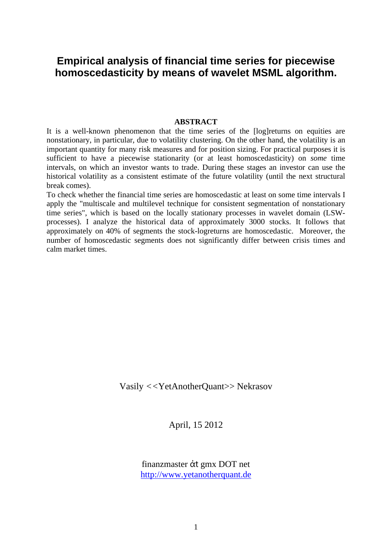# **Empirical analysis of financial time series for piecewise homoscedasticity by means of wavelet MSML algorithm.**

#### **ABSTRACT**

It is a well-known phenomenon that the time series of the [log]returns on equities are nonstationary, in particular, due to volatility clustering. On the other hand, the volatility is an important quantity for many risk measures and for position sizing. For practical purposes it is sufficient to have a piecewise stationarity (or at least homoscedasticity) on *some* time intervals, on which an investor wants to trade. During these stages an investor can use the historical volatility as a consistent estimate of the future volatility (until the next structural break comes).

To check whether the financial time series are homoscedastic at least on some time intervals I apply the "multiscale and multilevel technique for consistent segmentation of nonstationary time series", which is based on the locally stationary processes in wavelet domain (LSWprocesses). I analyze the historical data of approximately 3000 stocks. It follows that approximately on 40% of segments the stock-logreturns are homoscedastic. Moreover, the number of homoscedastic segments does not significantly differ between crisis times and calm market times.

Vasily *<<*YetAnotherQuant>> Nekrasov

April, 15 2012

finanzmaster ἀt gmx DOT net http://www.yetanotherquant.de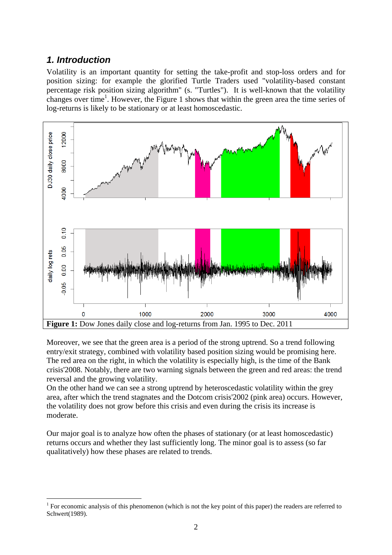## *1. Introduction*

1

Volatility is an important quantity for setting the take-profit and stop-loss orders and for position sizing: for example the glorified Turtle Traders used "volatility-based constant percentage risk position sizing algorithm" (s. "Turtles"). It is well-known that the volatility changes over time<sup>1</sup>. However, the Figure 1 shows that within the green area the time series of log-returns is likely to be stationary or at least homoscedastic.



Moreover, we see that the green area is a period of the strong uptrend. So a trend following entry/exit strategy, combined with volatility based position sizing would be promising here. The red area on the right, in which the volatility is especially high, is the time of the Bank crisis'2008. Notably, there are two warning signals between the green and red areas: the trend reversal and the growing volatility.

On the other hand we can see a strong uptrend by heteroscedastic volatility within the grey area, after which the trend stagnates and the Dotcom crisis'2002 (pink area) occurs. However, the volatility does not grow before this crisis and even during the crisis its increase is moderate.

Our major goal is to analyze how often the phases of stationary (or at least homoscedastic) returns occurs and whether they last sufficiently long. The minor goal is to assess (so far qualitatively) how these phases are related to trends.

<sup>&</sup>lt;sup>1</sup> For economic analysis of this phenomenon (which is not the key point of this paper) the readers are referred to Schwert(1989).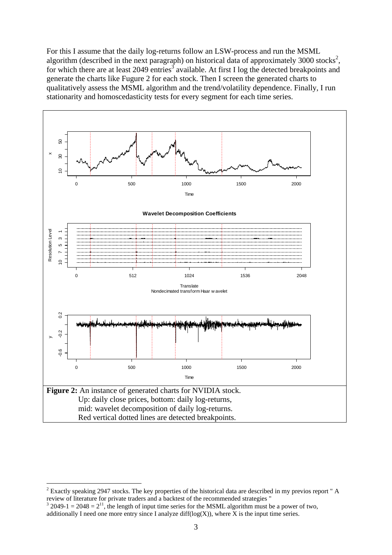For this I assume that the daily log-returns follow an LSW-process and run the MSML algorithm (described in the next paragraph) on historical data of approximately 3000 stocks<sup>2</sup>, for which there are at least 2049 entries<sup>3</sup> available. At first I log the detected breakpoints and generate the charts like Fugure 2 for each stock. Then I screen the generated charts to qualitatively assess the MSML algorithm and the trend/volatility dependence. Finally, I run stationarity and homoscedasticity tests for every segment for each time series.



 $2^{2}$  Exactly speaking 2947 stocks. The key properties of the historical data are described in my previos report " A review of literature for private traders and a backtest of the recommended strategies "

 $3\text{ }2049-1 = 2048 = 2^{11}$ , the length of input time series for the MSML algorithm must be a power of two, additionally I need one more entry since I analyze diff( $log(X)$ ), where X is the input time series.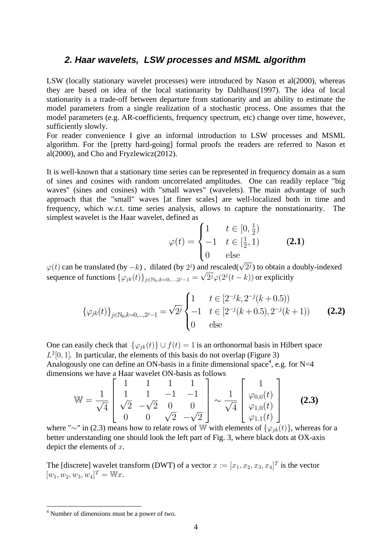### *2. Haar wavelets, LSW processes and MSML algorithm*

LSW (locally stationary wavelet processes) were introduced by Nason et al $(2000)$ , whereas they are based on idea of the local stationarity by Dahlhaus(1997). The idea of local stationarity is a trade-off between departure from stationarity and an ability to estimate the model parameters from a single realization of a stochastic process. One assumes that the model parameters (e.g. AR-coefficients, frequency spectrum, etc) change over time, however, sufficiently slowly.

For reader convenience I give an informal introduction to LSW processes and MSML algorithm. For the [pretty hard-going] formal proofs the readers are referred to Nason et al(2000), and Cho and Fryzlewicz(2012).

It is well-known that a stationary time series can be represented in frequency domain as a sum of sines and cosines with random uncorrelated amplitudes. One can readily replace "big waves" (sines and cosines) with "small waves" (wavelets). The main advantage of such approach that the "small" waves [at finer scales] are well-localized both in time and frequency, which w.r.t. time series analysis, allows to capture the nonstationarity. The simplest wavelet is the Haar wavelet, defined as

$$
\varphi(t) = \begin{cases} 1 & t \in [0, \frac{1}{2}) \\ -1 & t \in [\frac{1}{2}, 1) \\ 0 & \text{else} \end{cases}
$$
 (2.1)

 $\varphi(t)$  can be translated (by  $-k$ ), dilated (by  $2^j$ ) and rescaled( $\sqrt{2^j}$ ) to obtain a doubly-indexed  $\varphi(t)$  can be translated (by  $-k$ ), different (by  $2^j$ ) and rescalled ( $\nu$   $2^j$ ) to obtain a difference of functions  $\{\varphi_{jk}(t)\}_{j \in \mathbb{N}_0, k=0,\dots,2^j-1} = \sqrt{2^j}\varphi(2^j(t-k))$  or explicitly

$$
\{\varphi_{jk}(t)\}_{j \in \mathbb{N}_0, k=0,\dots,2^j-1} = \sqrt{2^j} \begin{cases} 1 & t \in [2^{-j}k, 2^{-j}(k+0.5)) \\ -1 & t \in [2^{-j}(k+0.5), 2^{-j}(k+1)) \\ 0 & \text{else} \end{cases} \tag{2.2}
$$

One can easily check that  $\{\varphi_{ik}(t)\} \cup f(t) = 1$  is an orthonormal basis in Hilbert space  $L^2[0, 1]$ . In particular, the elements of this basis do not overlap (Figure 3) Analogously one can define an ON-basis in a finite dimensional space<sup>4</sup>, e.g. for N=4

dimensions we have a Haar wavelet ON-basis as follows  
\n
$$
\mathbb{W} = \frac{1}{\sqrt{4}} \begin{bmatrix} 1 & 1 & 1 & 1 \\ 1 & 1 & -1 & -1 \\ \sqrt{2} & -\sqrt{2} & 0 & 0 \\ 0 & 0 & \sqrt{2} & -\sqrt{2} \end{bmatrix} \sim \frac{1}{\sqrt{4}} \begin{bmatrix} 1 \\ \varphi_{0,0}(t) \\ \varphi_{1,0}(t) \\ \varphi_{1,1}(t) \end{bmatrix}
$$
\n(2.3)

where " $\sim$ " in (2.3) means how to relate rows of W with elements of  $\{\varphi_{jk}(t)\}\)$ , whereas for a better understanding one should look the left part of Fig. 3, where black dots at OX-axis depict the elements of *x*.

The [discrete] wavelet transform (DWT) of a vector  $x := [x_1, x_2, x_3, x_4]^T$  is the vector  $[w_1, w_2, w_3, w_4]^T = \mathbb{W}x.$ 

 4 Number of dimensions must be a power of two.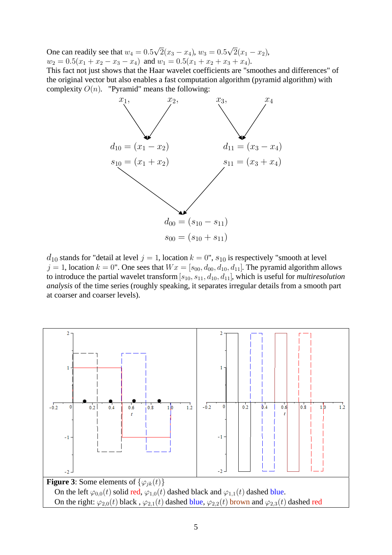One can readily see that  $w_4 = 0.5\sqrt{2}(x_3 - x_4)$ ,  $w_3 = 0.5\sqrt{2}(x_1 - x_2)$ ,  $w_2 = 0.5(x_1 + x_2 - x_3 - x_4)$  and  $w_1 = 0.5(x_1 + x_2 + x_3 + x_4)$ .

This fact not just shows that the Haar wavelet coefficients are "smoothes and differences" of the original vector but also enables a fast computation algorithm (pyramid algorithm) with complexity  $O(n)$ . "Pyramid" means the following:



 $d_{10}$  stands for "detail at level  $j = 1$ , location  $k = 0$ ",  $s_{10}$  is respectively "smooth at level  $j = 1$ , location  $k = 0$ ". One sees that  $Wx = [s_{00}, d_{00}, d_{10}, d_{11}]$ . The pyramid algorithm allows to introduce the partial wavelet transform [*s*10*; s*11*; d*10*; d*11], which is useful for *multiresolution analysis* of the time series (roughly speaking, it separates irregular details from a smooth part at coarser and coarser levels).

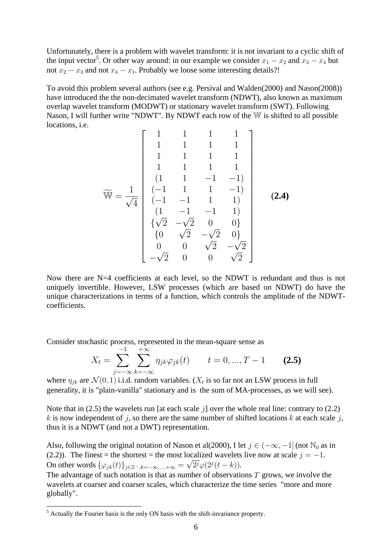Unfortunately, there is a problem with wavelet transform: it is not invariant to a cyclic shift of the input vector<sup>5</sup>. Or other way around: in our example we consider  $x_1 - x_2$  and  $x_3 - x_4$  but not  $x_2 - x_3$  and not  $x_4 - x_1$ . Probably we loose some interesting details?!

To avoid this problem several authors (see e.g. Persival and Walden(2000) and Nason(2008)) have introduced the the non-decimated wavelet transform (NDWT), also known as maximum overlap wavelet transform (MODWT) or stationary wavelet transform (SWT). Following Nason, I will further write "NDWT". By NDWT each row of the W is shifted to all possible locations, i.e.  $\overline{1}$  $\overline{a}$ 

$$
\widetilde{\mathbb{W}} = \frac{1}{\sqrt{4}} \begin{bmatrix} 1 & 1 & 1 & 1 & 1 \\ 1 & 1 & 1 & 1 & 1 \\ 1 & 1 & 1 & 1 & 1 \\ 1 & 1 & 1 & 1 & 1 \\ (1 & 1 & -1 & -1) & 1 \\ (-1 & 1 & 1 & -1) & 1 \\ (1 & -1 & -1 & 1 & 1) \\ (1 & -1 & -1 & 1) & 1 \\ \sqrt{2} & -\sqrt{2} & 0 & 0 \\ 0 & \sqrt{2} & -\sqrt{2} & 0 \\ -\sqrt{2} & 0 & 0 & \sqrt{2} \end{bmatrix}
$$
 (2.4)

Now there are N=4 coefficients at each level, so the NDWT is redundant and thus is not uniquely invertible. However, LSW processes (which are based on NDWT) do have the unique characterizations in terms of a function, which controls the amplitude of the NDWTcoefficients.

Consider stochastic process, represented in the mean-square sense as

$$
X_t = \sum_{j=-\infty}^{-1} \sum_{k=-\infty}^{+\infty} \eta_{jk} \varphi_{jk}(t) \qquad t = 0, ..., T - 1 \qquad (2.5)
$$

where  $\eta_{ik}$  are  $\mathcal{N}(0, 1)$  i.i.d. random variables. ( $X_t$  is so far not an LSW process in full generality, it is "plain-vanilla" stationary and is the sum of MA-processes, as we will see).

Note that in (2.5) the wavelets run [at each scale *j*] over the whole real line: contrary to (2.2) *k* is now independent of *j*, so there are the same number of shifted locations *k* at each scale *j*, thus it is a NDWT (and not a DWT) representation.

Also, following the original notation of Nason et al(2000), I let  $j \in (-\infty, -1]$  (not  $\mathbb{N}_0$  as in (2.2)). The finest = the shortest = the most localized wavelets live now at scale  $j = -1$ . (2.2)). The finest = the shortest = the most focallized wavelets On other words  $\{\varphi_{jk}(t)\}_{j\in\mathbb{Z}^-,k=-\infty,\dots,+\infty} = \sqrt{2^j}\varphi(2^j(t-k)).$ 

The advantage of such notation is that as number of observations *T* grows, we involve the wavelets at coarser and coarser scales, which characterize the time series "more and more globally".

<sup>&</sup>lt;sup>5</sup> Actually the Fourier basis is the only ON basis with the shift-invariance property.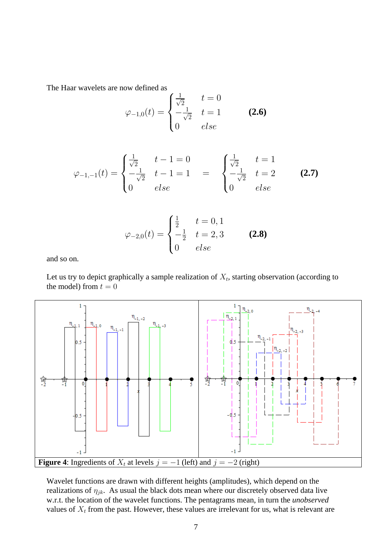The Haar wavelets are now defined as

$$
\varphi_{-1,0}(t) = \begin{cases} \frac{1}{\sqrt{2}} & t = 0\\ -\frac{1}{\sqrt{2}} & t = 1\\ 0 & else \end{cases} \tag{2.6}
$$

$$
\varphi_{-1,-1}(t) = \begin{cases} \frac{1}{\sqrt{2}} & t-1=0\\ -\frac{1}{\sqrt{2}} & t-1=1\\ 0 & else \end{cases} \qquad \begin{cases} \frac{1}{\sqrt{2}} & t=1\\ -\frac{1}{\sqrt{2}} & t=2\\ 0 & else \end{cases} \qquad \qquad (2.7)
$$

$$
\varphi_{-2,0}(t) = \begin{cases} \frac{1}{2} & t = 0, 1\\ -\frac{1}{2} & t = 2, 3\\ 0 & else \end{cases} \tag{2.8}
$$

and so on.

Let us try to depict graphically a sample realization of  $X_t$ , starting observation (according to the model) from  $t = 0$ 



Wavelet functions are drawn with different heights (amplitudes), which depend on the realizations of  $\eta_{jk}$ . As usual the black dots mean where our discretely observed data live w.r.t. the location of the wavelet functions. The pentagrams mean, in turn the *unobserved* values of  $X_t$  from the past. However, these values are irrelevant for us, what is relevant are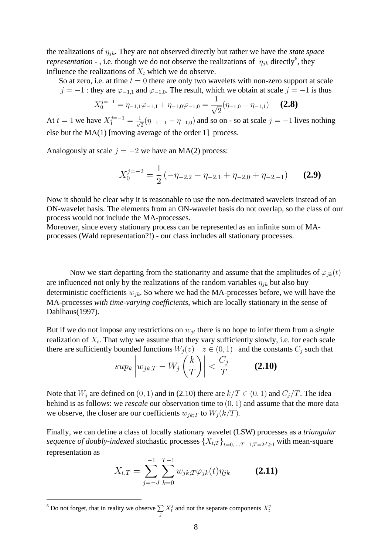the realizations of  $\eta_{jk}$ . They are not observed directly but rather we have the *state space representation* - , i.e. though we do not observe the realizations of  $\eta_{jk}$  directly<sup>6</sup>, they influence the realizations of  $X_t$  which we do observe.

So at zero, i.e. at time  $t = 0$  there are only two wavelets with non-zero support at scale *j* =  $-1$ : they are  $\varphi_{-1,1}$  and  $\varphi_{-1,0}$ . The result, which we obtain at scale *j* =  $-1$  is thus

$$
X_0^{j=-1} = \eta_{-1,1}\varphi_{-1,1} + \eta_{-1,0}\varphi_{-1,0} = \frac{1}{\sqrt{2}}(\eta_{-1,0} - \eta_{-1,1}) \qquad (2.8)
$$

At  $t = 1$  we have  $X_1^{j=-1} = \frac{1}{\sqrt{2}} (\eta_{-1,-1} - \eta_{-1,0})$  and so on - so at scale  $j = -1$  lives nothing else but the MA(1) [moving average of the order 1] process.

Analogously at scale  $j = -2$  we have an MA(2) process:

$$
X_0^{j=-2} = \frac{1}{2} \left( -\eta_{-2,2} - \eta_{-2,1} + \eta_{-2,0} + \eta_{-2,-1} \right) \qquad (2.9)
$$

Now it should be clear why it is reasonable to use the non-decimated wavelets instead of an ON-wavelet basis. The elements from an ON-wavelet basis do not overlap, so the class of our process would not include the MA-processes.

Moreover, since every stationary process can be represented as an infinite sum of MAprocesses (Wald representation?!) - our class includes all stationary processes.

Now we start departing from the stationarity and assume that the amplitudes of  $\varphi_{ik}(t)$ are influenced not only by the realizations of the random variables  $\eta_{jk}$  but also buy deterministic coefficients *wjk*. So where we had the MA-processes before, we will have the MA-processes *with time-varying coefficients*, which are locally stationary in the sense of Dahlhaus(1997).

But if we do not impose any restrictions on *wjt* there is no hope to infer them from a *single* realization of  $X_t$ . That why we assume that they vary sufficiently slowly, i.e. for each scale there are sufficiently bounded functions  $W_j(z)$   $z \in (0,1)$  and the constants  $C_j$  such that  $\begin{array}{ccc} | & | & | \end{array}$ 

$$
sup_k \left| w_{jk;T} - W_j\left(\frac{k}{T}\right) \right| < \frac{C_j}{T} \tag{2.10}
$$

Note that  $W_j$  are defined on  $(0, 1)$  and in (2.10) there are  $k/T \in (0, 1)$  and  $C_j/T$ . The idea behind is as follows: we *rescale* our observation time to (0*;* 1) and assume that the more data we observe, the closer are our coefficients  $w_{jk;T}$  to  $W_j(k/T)$ .

Finally, we can define a class of locally stationary wavelet (LSW) processes as a *triangular sequence of doubly-indexed* stochastic processes  $\{X_{t,T}\}_{t=0,\ldots,T-1,T=2^J>1}$  with mean-square representation as

$$
X_{t,T} = \sum_{j=-J}^{-1} \sum_{k=0}^{T-1} w_{jk;T} \varphi_{jk}(t) \eta_{jk}
$$
 (2.11)

<sup>&</sup>lt;sup>6</sup> Do not forget, that in reality we observe  $\sum$ *j*  $X_t^j$  and not the separate components  $X_t^j$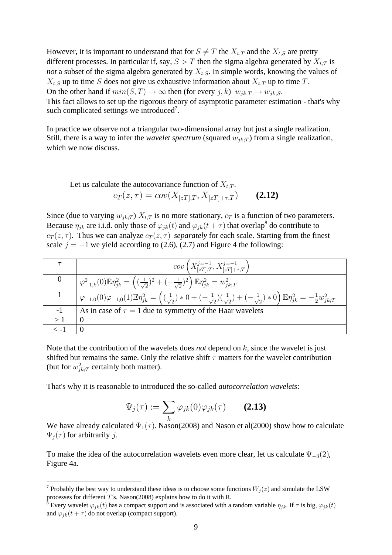However, it is important to understand that for  $S \neq T$  the  $X_{t,T}$  and the  $X_{t,S}$  are pretty different processes. In particular if, say,  $S > T$  then the sigma algebra generated by  $X_{t,T}$  is *not* a subset of the sigma algebra generated by  $X_{t,S}$ . In simple words, knowing the values of  $X_{t,S}$  up to time *S* does not give us exhaustive information about  $X_{t,T}$  up to time *T*. On the other hand if  $min(S, T) \rightarrow \infty$  then (for every *j*, *k*)  $w_{jk;T} \rightarrow w_{jk;S}$ . This fact allows to set up the rigorous theory of asymptotic parameter estimation - that's why such complicated settings we introduced<sup>7</sup>.

In practice we observe not a triangular two-dimensional array but just a single realization. Still, there is a way to infer the *wavelet spectrum* (squared  $w_{jk,T}$ ) from a single realization, which we now discuss.

Let us calculate the autocovariance function of 
$$
X_{t,T}
$$
.  
\n
$$
c_T(z,\tau) = cov(X_{[zT],T}, X_{[zT]+\tau,T})
$$
\n(2.12)

Since (due to varying  $w_{ik,T}$ )  $X_{t,T}$  is no more stationary,  $c_T$  is a function of two parameters. Because  $\eta_{jk}$  are i.i.d. only those of  $\varphi_{jk}(t)$  and  $\varphi_{jk}(t+\tau)$  that overlap<sup>8</sup> do contribute to  $c_T(z, \tau)$ . Thus we can analyze  $c_T(z, \tau)$  *separately* for each scale. Starting from the finest scale  $j = -1$  we yield according to (2.6), (2.7) and Figure 4 the following:

| $cov(X_{[zT],T}^{j=-1},X_{[zT]+\tau,T}^{j=-1})$                                                                                                                                                                                             |
|---------------------------------------------------------------------------------------------------------------------------------------------------------------------------------------------------------------------------------------------|
| $\left(\,\varphi_{-1,k}^2(0)\mathbb{E} \eta_{jk}^2 = \left(\,(\tfrac{1}{\sqrt{2}})^2 + (-\tfrac{1}{\sqrt{2}})^2\right) \mathbb{E} \eta_{jk}^2 = w_{jk;T}^2$                                                                                 |
| $\varphi_{-1,0}(0)\varphi_{-1,0}(1)\mathbb{E}\eta_{jk}^2 = \left(\left(\frac{1}{\sqrt{2}}\right)*0+(-\frac{1}{\sqrt{2}}\right)\left(\frac{1}{\sqrt{2}}\right)+(-\frac{1}{\sqrt{2}})*0\right)\mathbb{E}\eta_{jk}^2 = -\frac{1}{2}w_{jk,T}^2$ |
| As in case of $\tau = 1$ due to symmetry of the Haar wavelets                                                                                                                                                                               |
|                                                                                                                                                                                                                                             |
|                                                                                                                                                                                                                                             |

Note that the contribution of the wavelets does *not* depend on *k*, since the wavelet is just shifted but remains the same. Only the relative shift  $\tau$  matters for the wavelet contribution (but for  $w_{jk;T}^2$  certainly both matter).

That's why it is reasonable to introduced the so-called *autocorrelation wavelets*:

$$
\Psi_j(\tau) := \sum_k \varphi_{jk}(0) \varphi_{jk}(\tau) \qquad (2.13)
$$

We have already calculated  $\Psi_1(\tau)$ . Nason(2008) and Nason et al(2000) show how to calculate  $\Psi_i(\tau)$  for arbitrarily *j*.

To make the idea of the autocorrelation wavelets even more clear, let us calculate  $\Psi_{-3}(2)$ , Figure 4a.

<sup>&</sup>lt;sup>7</sup> Probably the best way to understand these ideas is to choose some functions  $W_j(z)$  and simulate the LSW processes for different  $T$ 's. Nason(2008) explains how to do it with R.

<sup>&</sup>lt;sup>8</sup> Every wavelet  $\varphi_{jk}(t)$  has a compact support and is associated with a random variable  $\eta_{jk}$ . If  $\tau$  is big,  $\varphi_{jk}(t)$ and  $\varphi_{ik}(t + \tau)$  do not overlap (compact support).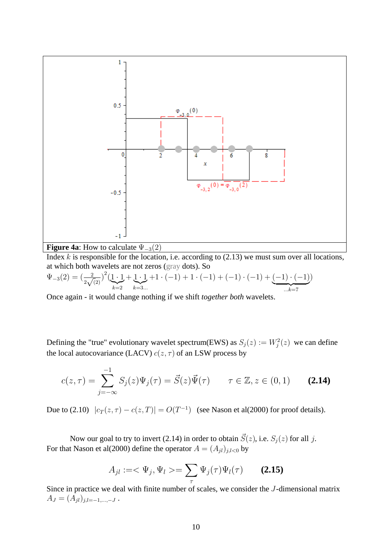

Index *k* is responsible for the location, i.e. according to (2.13) we must sum over all locations, at which both wavelets are not zeros (gray dots). So

$$
\Psi_{-3}(2) = \left(\frac{2}{2\sqrt{2}}\right)^2 \left(\underbrace{1\cdot 1}_{k=2} + \underbrace{1\cdot 1}_{k=3\ldots} + 1\cdot (-1) + 1\cdot (-1) + (-1) + (-1)\cdot (-1) + \underbrace{(-1)\cdot (-1)}_{\ldots k=7}\right)
$$

Once again - it would change nothing if we shift *together both* wavelets.

Defining the "true" evolutionary wavelet spectrum(EWS) as  $S_j(z) := W_j^2(z)$  we can define the local autocovariance (LACV)  $c(z, \tau)$  of an LSW process by

$$
c(z,\tau) = \sum_{j=-\infty}^{-1} S_j(z)\Psi_j(\tau) = \vec{S}(z)\vec{\Psi}(\tau) \qquad \tau \in \mathbb{Z}, z \in (0,1) \qquad (2.14)
$$

Due to (2.10)  $|c_T(z, \tau) - c(z, T)| = O(T^{-1})$  (see Nason et al(2000) for proof details).

Now our goal to try to invert (2.14) in order to obtain  $\vec{S}(z)$ , i.e.  $S_j(z)$  for all *j*. For that Nason et al(2000) define the operator  $A = (A_{jl})_{j,l \le 0}$  by

$$
A_{jl} := \langle \Psi_j, \Psi_l \rangle = \sum_{\tau} \Psi_j(\tau) \Psi_l(\tau) \qquad (2.15)
$$

Since in practice we deal with finite number of scales, we consider the *J*-dimensional matrix  $A_J = (A_{jl})_{j,l=-1,...,-J}$ .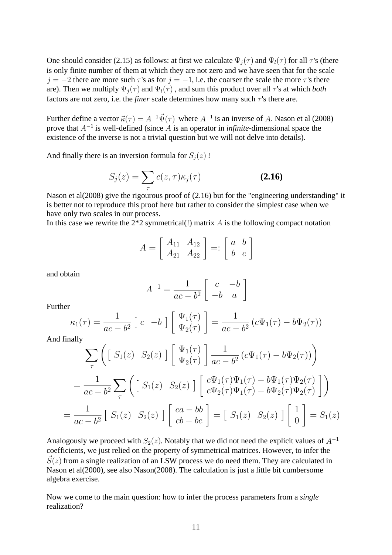One should consider (2.15) as follows: at first we calculate  $\Psi_i(\tau)$  and  $\Psi_i(\tau)$  for all  $\tau$ 's (there is only finite number of them at which they are not zero and we have seen that for the scale *j* =  $-2$  there are more such  $\tau$ 's as for *j* =  $-1$ , i.e. the coarser the scale the more  $\tau$ 's there are). Then we multiply  $\Psi_i(\tau)$  and  $\Psi_l(\tau)$ , and sum this product over all  $\tau$ 's at which *both* factors are not zero, i.e. the *finer* scale determines how many such  $\tau$ 's there are.

Further define a vector  $\vec{\kappa}(\tau) = A^{-1} \vec{\Psi}(\tau)$  where  $A^{-1}$  is an inverse of A. Nason et al (2008) prove that  $A^{-1}$  is well-defined (since A is an operator in *infinite*-dimensional space the existence of the inverse is not a trivial question but we will not delve into details).

And finally there is an inversion formula for  $S_i(z)$ !

$$
S_j(z) = \sum_{\tau} c(z, \tau) \kappa_j(\tau) \tag{2.16}
$$

Nason et al(2008) give the rigourous proof of (2.16) but for the "engineering understanding" it is better not to reproduce this proof here but rather to consider the simplest case when we have only two scales in our process.

In this case we rewrite the 2\*2 symmetrical(!) matrix *A* is the following compact notation

$$
A = \left[ \begin{array}{cc} A_{11} & A_{12} \\ A_{21} & A_{22} \end{array} \right] =: \left[ \begin{array}{cc} a & b \\ b & c \end{array} \right]
$$

and obtain

$$
A^{-1} = \frac{1}{ac - b^2} \begin{bmatrix} c & -b \\ -b & a \end{bmatrix}
$$

Further

$$
\kappa_1(\tau) = \frac{1}{ac - b^2} \left[ c - b \right] \left[ \begin{array}{c} \Psi_1(\tau) \\ \Psi_2(\tau) \end{array} \right] = \frac{1}{ac - b^2} \left( c \Psi_1(\tau) - b \Psi_2(\tau) \right)
$$

And finally

$$
\sum_{\tau} \left( \begin{bmatrix} S_1(z) & S_2(z) \end{bmatrix} \begin{bmatrix} \Psi_1(\tau) \\ \Psi_2(\tau) \end{bmatrix} \frac{1}{ac - b^2} (c\Psi_1(\tau) - b\Psi_2(\tau)) \right)
$$
  
= 
$$
\frac{1}{ac - b^2} \sum_{\tau} \left( \begin{bmatrix} S_1(z) & S_2(z) \end{bmatrix} \begin{bmatrix} c\Psi_1(\tau)\Psi_1(\tau) - b\Psi_1(\tau)\Psi_2(\tau) \\ c\Psi_2(\tau)\Psi_1(\tau) - b\Psi_2(\tau)\Psi_2(\tau) \end{bmatrix} \right)
$$
  
= 
$$
\frac{1}{ac - b^2} \begin{bmatrix} S_1(z) & S_2(z) \end{bmatrix} \begin{bmatrix} ca - bb \\ cb - bc \end{bmatrix} = \begin{bmatrix} S_1(z) & S_2(z) \end{bmatrix} \begin{bmatrix} 1 \\ 0 \end{bmatrix} = S_1(z)
$$

Analogously we proceed with  $S_2(z)$ . Notably that we did not need the explicit values of  $A^{-1}$ coefficients, we just relied on the property of symmetrical matrices. However, to infer the  $\vec{S}(z)$  from a single realization of an LSW process we do need them. They are calculated in Nason et al(2000), see also Nason(2008). The calculation is just a little bit cumbersome algebra exercise.

Now we come to the main question: how to infer the process parameters from a *single* realization?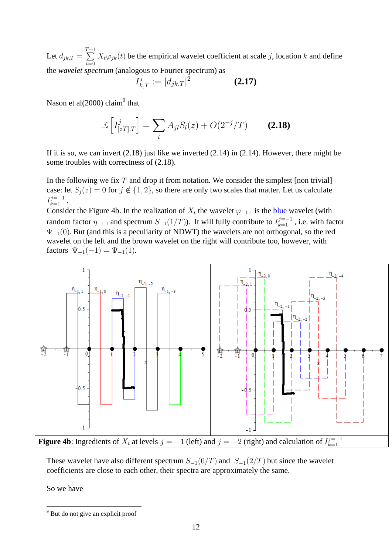Let  $d_{jk,T} = \sum_{T=1}^{T-1}$ *t*=0  $X_t \varphi_{jk}(t)$  be the empirical wavelet coefficient at scale *j*, location *k* and define the *wavelet spectrum* (analogous to Fourier spectrum) as

$$
I_{k,T}^j := |d_{jk,T}|^2 \tag{2.17}
$$

Nason et al $(2000)$  claim<sup>9</sup> that

$$
\mathbb{E}\left[I_{[zT],T}^{j}\right] = \sum_{l} A_{jl} S_{l}(z) + O(2^{-j}/T)
$$
 (2.18)

If it is so, we can invert  $(2.18)$  just like we inverted  $(2.14)$  in  $(2.14)$ . However, there might be some troubles with correctness of (2.18).

In the following we fix *T* and drop it from notation. We consider the simplest [non trivial] case: let  $S_j(z) = 0$  for  $j \notin \{1, 2\}$ , so there are only two scales that matter. Let us calculate  $I_{k=1}^{j=-1}$  .

Consider the Figure 4b. In the realization of  $X_t$  the wavelet  $\varphi_{-1,1}$  is the blue wavelet (with random factor  $\eta_{-1,1}$  and spectrum  $S_{-1}(1/T)$ ). It will fully contribute to  $I_{k=1}^{j=-1}$ , i.e. with factor  $\Psi_{-1}(0)$ . But (and this is a peculiarity of NDWT) the wavelets are not orthogonal, so the red wavelet on the left and the brown wavelet on the right will contribute too, however, with factors  $\Psi_{-1}(-1) = \Psi_{-1}(1)$ .



These wavelet have also different spectrum  $S_{-1}(0/T)$  and  $S_{-1}(2/T)$  but since the wavelet coefficients are close to each other, their spectra are approximately the same.

So we have

<sup>&</sup>lt;sup>9</sup> But do not give an explicit proof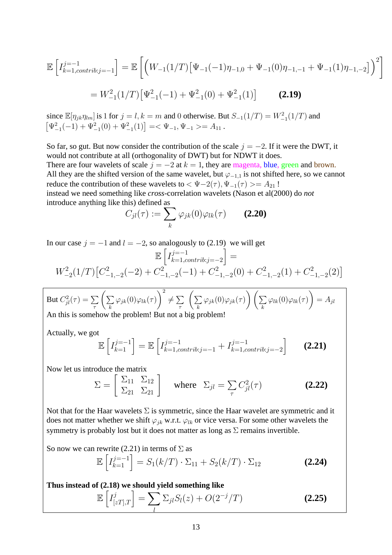$$
\mathbb{E}\left[I_{k=1,contrib:j=-1}^{j=-1}\right] = \mathbb{E}\left[\left(W_{-1}(1/T)\left[\Psi_{-1}(-1)\eta_{-1,0} + \Psi_{-1}(0)\eta_{-1,-1} + \Psi_{-1}(1)\eta_{-1,-2}\right]\right)^2\right]
$$
  
=  $W_{-1}^2(1/T)\left[\Psi_{-1}^2(-1) + \Psi_{-1}^2(0) + \Psi_{-1}^2(1)\right]$  (2.19)

since  $\mathbb{E}[\eta_{jk}\eta_{lm}]$  is 1 for  $j = l, k = m$  and 0 otherwise. But  $S_{-1}(1/T) = W_{-1}^2(1/T)$  and  $\frac{5}{5}$  $\Psi_{-1}^2(-1) + \Psi_{-1}^2(0) + \Psi_{-1}^2(1) = \Psi_{-1}^2(\Psi_{-1} - 1) + \Psi_{-1}^2(0) + \Psi_{-1}^2(0)$ 

So far, so gut. But now consider the contribution of the scale  $j = -2$ . If it were the DWT, it would not contribute at all (orthogonality of DWT) but for NDWT it does. There are four wavelets of scale  $j = -2$  at  $k = 1$ , they are magenta, blue, green and brown. All they are the shifted version of the same wavelet, but  $\varphi_{-1,1}$  is not shifted here, so we cannot reduce the contribution of these wavelets to  $\langle \Psi - 2(\tau), \Psi_{-1}(\tau) \rangle = A_{21}!$ instead we need something like *cross-*correlation wavelets (Nason et al(2000) do *not* introduce anything like this) defined as  $C_{jl}(\tau) := \sum_{j}$ 

$$
C_{jl}(\tau) := \sum_{k} \varphi_{jk}(0) \varphi_{lk}(\tau) \qquad (2.20)
$$

In our case  $j = -1$  and  $l = -2$ , so analogously to (2.19) we will get  $\frac{1}{1}$ 

$$
\mathbb{E}\left[I_{k=1,contrib:j=-2}^{j=-1}\right] =
$$
  

$$
W_{-2}^{2}(1/T)\left[C_{-1,-2}^{2}(-2) + C_{-1,-2}^{2}(-1) + C_{-1,-2}^{2}(0) + C_{-1,-2}^{2}(1) + C_{-1,-2}^{2}(2)\right]
$$

But 
$$
C_{jl}^2(\tau) = \sum_{\tau} \left( \sum_k \varphi_{jk}(0) \varphi_{lk}(\tau) \right)^2 \neq \sum_{\tau} \left( \sum_k \varphi_{jk}(0) \varphi_{jk}(\tau) \right) \left( \sum_k \varphi_{lk}(0) \varphi_{lk}(\tau) \right) = A_{jl}
$$
  
An this is somehow the problem! But not a big problem!

An this is somehow the problem! But not a big problem!

Actually, we got

$$
\mathbb{E}\left[I_{k=1}^{j=-1}\right] = \mathbb{E}\left[I_{k=1,contrib:j=-1}^{j=-1} + I_{k=1,contrib:j=-2}^{j=-1}\right]
$$
 (2.21)

Now let us introduce the matrix  
\n
$$
\Sigma = \begin{bmatrix} \Sigma_{11} & \Sigma_{12} \\ \Sigma_{21} & \Sigma_{21} \end{bmatrix} \text{ where } \Sigma_{jl} = \sum_{\tau} C_{jl}^2(\tau) \qquad (2.22)
$$

Not that for the Haar wavelets  $\Sigma$  is symmetric, since the Haar wavelet are symmetric and it does not matter whether we shift  $\varphi_{jk}$  w.r.t.  $\varphi_{lk}$  or vice versa. For some other wavelets the symmetry is probably lost but it does not matter as long as  $\Sigma$  remains invertible.

So now we can rewrite (2.21) in terms of 
$$
\Sigma
$$
 as  
\n
$$
\mathbb{E}\left[I_{k=1}^{j=-1}\right] = S_1(k/T) \cdot \Sigma_{11} + S_2(k/T) \cdot \Sigma_{12}
$$
\n(2.24)

Thus instead of (2.18) we should yield something like  
\n
$$
\mathbb{E}\left[I_{[zT],T}^{j}\right] = \sum_{l} \sum_{j l} S_{l}(z) + O(2^{-j}/T)
$$
\n(2.25)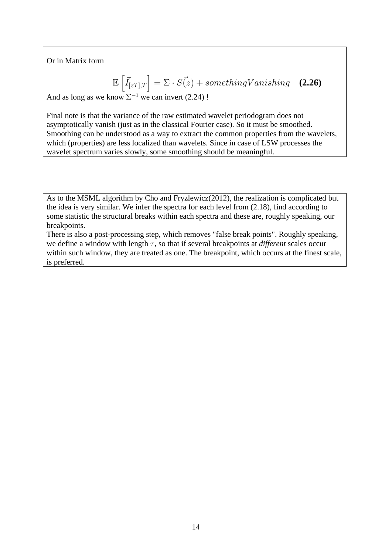Or in Matrix form

$$
\mathbb{E}\left[\vec{I}_{[zT],T}\right] = \Sigma \cdot \vec{S(z)} + somethingVanishing \quad (2.26)
$$

And as long as we know  $\Sigma^{-1}$  we can invert (2.24) !

Final note is that the variance of the raw estimated wavelet periodogram does not asymptotically vanish (just as in the classical Fourier case). So it must be smoothed. Smoothing can be understood as a way to extract the common properties from the wavelets, which (properties) are less localized than wavelets. Since in case of LSW processes the wavelet spectrum varies slowly, some smoothing should be meaningful.

As to the MSML algorithm by Cho and Fryzlewicz(2012), the realization is complicated but the idea is very similar. We infer the spectra for each level from (2.18), find according to some statistic the structural breaks within each spectra and these are, roughly speaking, our breakpoints.

There is also a post-processing step, which removes "false break points". Roughly speaking, we define a window with length  $\tau$ , so that if several breakpoints at *different* scales occur within such window, they are treated as one. The breakpoint, which occurs at the finest scale, is preferred.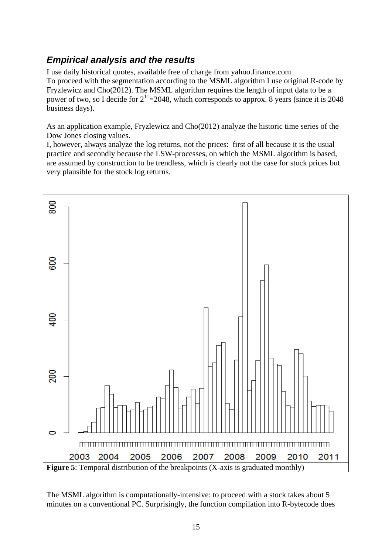# *Empirical analysis and the results*

I use daily historical quotes, available free of charge from yahoo.finance.com To proceed with the segmentation according to the MSML algorithm I use original R-code by Fryzlewicz and Cho(2012). The MSML algorithm requires the length of input data to be a power of two, so I decide for  $2^{11}$ =2048, which corresponds to approx. 8 years (since it is 2048) business days).

As an application example, Fryzlewicz and Cho(2012) analyze the historic time series of the Dow Jones closing values.

I, however, always analyze the log returns, not the prices: first of all because it is the usual practice and secondly because the LSW-processes, on which the MSML algorithm is based, are assumed by construction to be trendless, which is clearly not the case for stock prices but very plausible for the stock log returns.



The MSML algorithm is computationally-intensive: to proceed with a stock takes about 5 minutes on a conventional PC. Surprisingly, the function compilation into R-bytecode does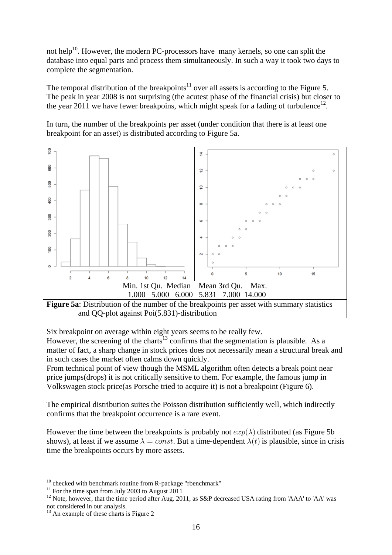not help<sup>10</sup>. However, the modern PC-processors have many kernels, so one can split the database into equal parts and process them simultaneously. In such a way it took two days to complete the segmentation.

The temporal distribution of the breakpoints<sup>11</sup> over all assets is according to the Figure 5. The peak in year 2008 is not surprising (the acutest phase of the financial crisis) but closer to the year 2011 we have fewer breakpoins, which might speak for a fading of turbulence<sup>12</sup>.

In turn, the number of the breakpoints per asset (under condition that there is at least one breakpoint for an asset) is distributed according to Figure 5a.



Six breakpoint on average within eight years seems to be really few.

However, the screening of the charts<sup>13</sup> confirms that the segmentation is plausible. As a matter of fact, a sharp change in stock prices does not necessarily mean a structural break and in such cases the market often calms down quickly.

From technical point of view though the MSML algorithm often detects a break point near price jumps(drops) it is not critically sensitive to them. For example, the famous jump in Volkswagen stock price(as Porsche tried to acquire it) is not a breakpoint (Figure 6).

The empirical distribution suites the Poisson distribution sufficiently well, which indirectly confirms that the breakpoint occurrence is a rare event.

However the time between the breakpoints is probably not  $exp(\lambda)$  distributed (as Figure 5b) shows), at least if we assume  $\lambda = const.$  But a time-dependent  $\lambda(t)$  is plausible, since in crisis time the breakpoints occurs by more assets.

 $10$  checked with benchmark routine from R-package "rbenchmark"

 $11$  For the time span from July 2003 to August 2011

<sup>&</sup>lt;sup>12</sup> Note, however, that the time period after Aug. 2011, as S&P decreased USA rating from 'AAA' to 'AA' was not considered in our analysis.

<sup>&</sup>lt;sup>13</sup> An example of these charts is Figure 2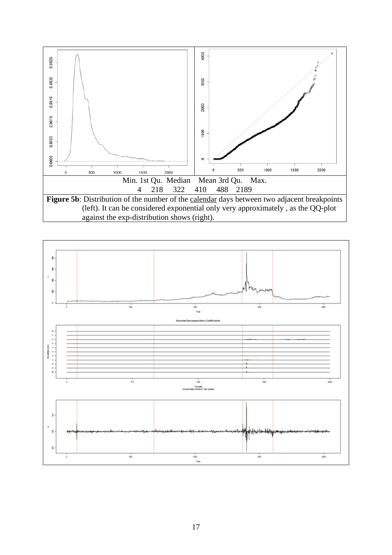

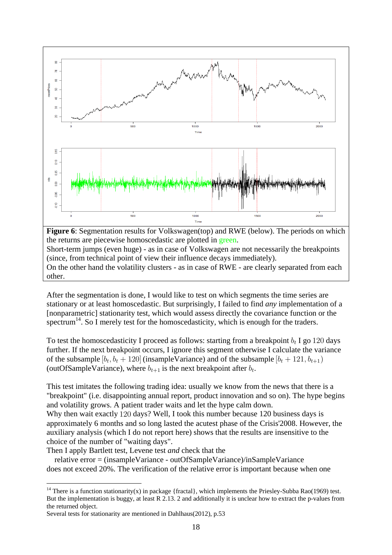

**Figure 6**: Segmentation results for Volkswagen(top) and RWE (below). The periods on which the returns are piecewise homoscedastic are plotted in green. Short-term jumps (even huge) - as in case of Volkswagen are not necessarily the breakpoints (since, from technical point of view their influence decays immediately). On the other hand the volatility clusters - as in case of RWE - are clearly separated from each other.

After the segmentation is done, I would like to test on which segments the time series are stationary or at least homoscedastic. But surprisingly, I failed to find *any* implementation of a [nonparametric] stationarity test, which would assess directly the covariance function or the spectrum<sup>14</sup>. So I merely test for the homoscedasticity, which is enough for the traders.

To test the homoscedasticity I proceed as follows: starting from a breakpoint  $b_t$  I go 120 days further. If the next breakpoint occurs, I ignore this segment otherwise I calculate the variance of the subsample  $[b_t, b_t + 120]$  (insample Variance) and of the subsample  $[b_t + 121, b_{t+1})$ (outOfSampleVariance), where  $b_{t+1}$  is the next breakpoint after  $b_t$ .

This test imitates the following trading idea: usually we know from the news that there is a "breakpoint" (i.e. disappointing annual report, product innovation and so on). The hype begins and volatility grows. A patient trader waits and let the hype calm down. Why then wait exactly 120 days? Well, I took this number because 120 business days is

approximately 6 months and so long lasted the acutest phase of the Crisis'2008. However, the auxiliary analysis (which I do not report here) shows that the results are insensitive to the choice of the number of "waiting days".

Then I apply Bartlett test, Levene test *and* check that the

 relative error = (insampleVariance - outOfSampleVariance)/inSampleVariance does not exceed 20%. The verification of the relative error is important because when one

<sup>&</sup>lt;sup>14</sup> There is a function stationarity(x) in package {fractal}, which implements the Priesley-Subba Rao(1969) test. But the implementation is buggy, at least R 2.13. 2 and additionally it is unclear how to extract the p-values from the returned object.

Several tests for stationarity are mentioned in Dahlhaus(2012), p.53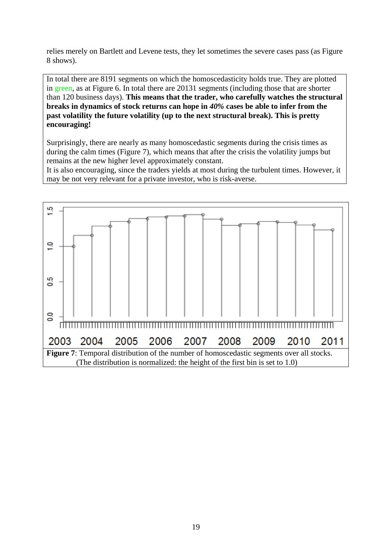relies merely on Bartlett and Levene tests, they let sometimes the severe cases pass (as Figure 8 shows).

In total there are 8191 segments on which the homoscedasticity holds true. They are plotted in green, as at Figure 6. In total there are 20131 segments (including those that are shorter than 120 business days). **This means that the trader, who carefully watches the structural breaks in dynamics of stock returns can hope in** *40%* **cases be able to infer from the past volatility the future volatility (up to the next structural break). This is pretty encouraging!**

Surprisingly, there are nearly as many homoscedastic segments during the crisis times as during the calm times (Figure 7), which means that after the crisis the volatility jumps but remains at the new higher level approximately constant.

It is also encouraging, since the traders yields at most during the turbulent times. However, it may be not very relevant for a private investor, who is risk-averse.

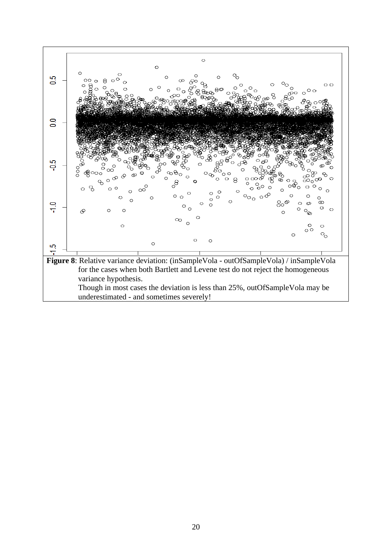